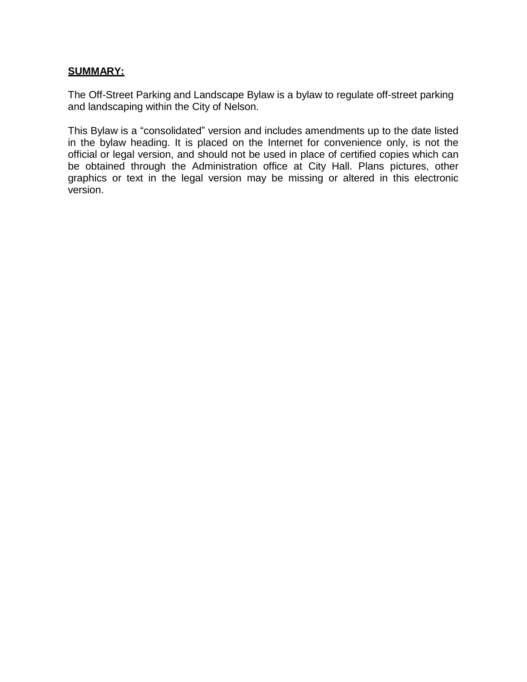## <span id="page-0-0"></span>**SUMMARY:**

The Off-Street Parking and Landscape Bylaw is a bylaw to regulate off-street parking and landscaping within the City of Nelson.

This Bylaw is a "consolidated" version and includes amendments up to the date listed in the bylaw heading. It is placed on the Internet for convenience only, is not the official or legal version, and should not be used in place of certified copies which can be obtained through the Administration office at City Hall. Plans pictures, other graphics or text in the legal version may be missing or altered in this electronic version.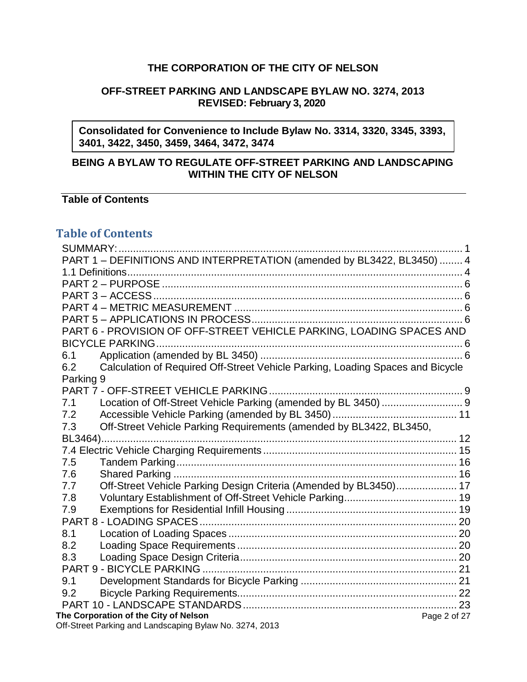# **THE CORPORATION OF THE CITY OF NELSON**

## **OFF-STREET PARKING AND LANDSCAPE BYLAW NO. 3274, 2013 REVISED: February 3, 2020**

**Consolidated for Convenience to Include Bylaw No. 3314, 3320, 3345, 3393, 3401, 3422, 3450, 3459, 3464, 3472, 3474**

# **BEING A BYLAW TO REGULATE OFF-STREET PARKING AND LANDSCAPING WITHIN THE CITY OF NELSON**

# **Table of Contents**

# **Table of Contents**

| PART 1 - DEFINITIONS AND INTERPRETATION (amended by BL3422, BL3450)  4                |
|---------------------------------------------------------------------------------------|
|                                                                                       |
|                                                                                       |
|                                                                                       |
|                                                                                       |
|                                                                                       |
| PART 6 - PROVISION OF OFF-STREET VEHICLE PARKING, LOADING SPACES AND                  |
|                                                                                       |
| 6.1                                                                                   |
| Calculation of Required Off-Street Vehicle Parking, Loading Spaces and Bicycle<br>6.2 |
| Parking 9                                                                             |
| PART 7 - OFF-STREET VEHICLE PARKING.                                                  |
| 7.1                                                                                   |
| 7.2                                                                                   |
| Off-Street Vehicle Parking Requirements (amended by BL3422, BL3450,<br>7.3            |
|                                                                                       |
|                                                                                       |
| 7.5                                                                                   |
| 7.6                                                                                   |
| Off-Street Vehicle Parking Design Criteria (Amended by BL3450) 17<br>7.7              |
| 7.8                                                                                   |
| 7.9                                                                                   |
|                                                                                       |
| 8.1<br>8.2                                                                            |
| 8.3                                                                                   |
|                                                                                       |
| 9.1                                                                                   |
| 9.2                                                                                   |
|                                                                                       |
| The Corporation of the City of Nelson<br>Page 2 of 27                                 |
| Off-Street Parking and Landscaping Bylaw No. 3274, 2013                               |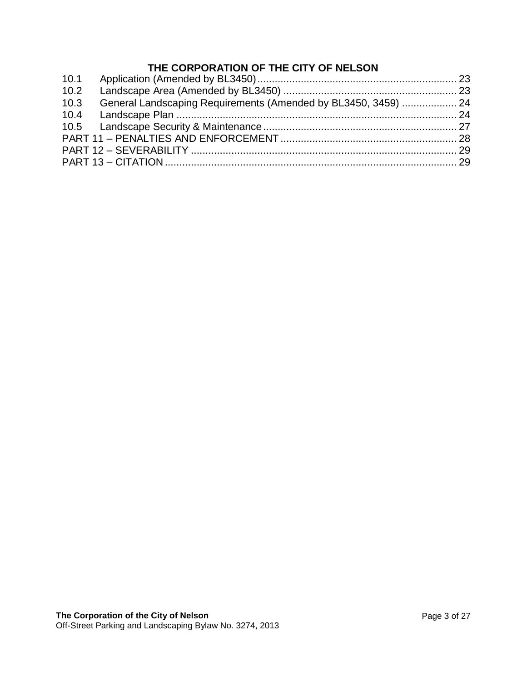# **THE CORPORATION OF THE CITY OF NELSON**

| 10.2 |                                                                |  |
|------|----------------------------------------------------------------|--|
| 10.3 | General Landscaping Requirements (Amended by BL3450, 3459)  24 |  |
|      |                                                                |  |
|      |                                                                |  |
|      |                                                                |  |
|      |                                                                |  |
|      |                                                                |  |
|      |                                                                |  |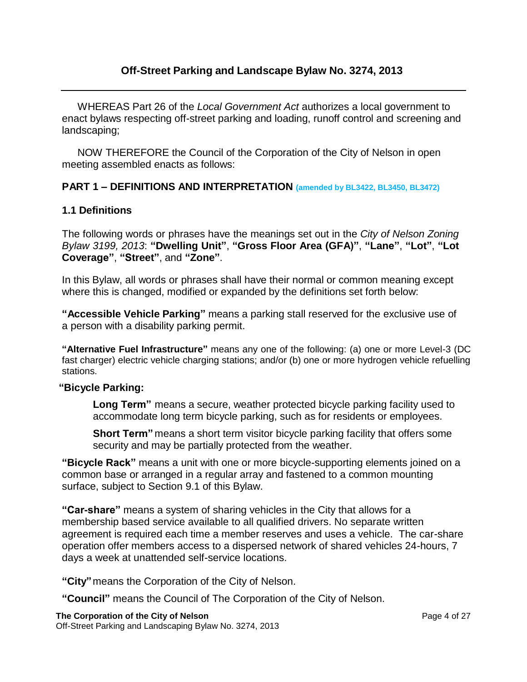# **Off-Street Parking and Landscape Bylaw No. 3274, 2013**

WHEREAS Part 26 of the *Local Government Act* authorizes a local government to enact bylaws respecting off-street parking and loading, runoff control and screening and landscaping;

NOW THEREFORE the Council of the Corporation of the City of Nelson in open meeting assembled enacts as follows:

#### <span id="page-3-0"></span>**PART 1 – DEFINITIONS AND INTERPRETATION (amended by BL3422, BL3450, BL3472)**

#### <span id="page-3-1"></span>**1.1 Definitions**

The following words or phrases have the meanings set out in the *City of Nelson Zoning Bylaw 3199, 2013*: **"Dwelling Unit"**, **"Gross Floor Area (GFA)"**, **"Lane"**, **"Lot"**, **"Lot Coverage"**, **"Street"**, and **"Zone"**.

In this Bylaw, all words or phrases shall have their normal or common meaning except where this is changed, modified or expanded by the definitions set forth below:

**"Accessible Vehicle Parking"** means a parking stall reserved for the exclusive use of a person with a disability parking permit.

**"Alternative Fuel Infrastructure"** means any one of the following: (a) one or more Level-3 (DC fast charger) electric vehicle charging stations; and/or (b) one or more hydrogen vehicle refuelling stations.

#### **"Bicycle Parking:**

**Long Term"** means a secure, weather protected bicycle parking facility used to accommodate long term bicycle parking, such as for residents or employees.

**Short Term"** means a short term visitor bicycle parking facility that offers some security and may be partially protected from the weather.

**"Bicycle Rack"** means a unit with one or more bicycle-supporting elements joined on a common base or arranged in a regular array and fastened to a common mounting surface, subject to Section 9.1 of this Bylaw.

**"Car-share"** means a system of sharing vehicles in the City that allows for a membership based service available to all qualified drivers. No separate written agreement is required each time a member reserves and uses a vehicle. The car-share operation offer members access to a dispersed network of shared vehicles 24-hours, 7 days a week at unattended self-service locations.

**"City"**means the Corporation of the City of Nelson.

**"Council"** means the Council of The Corporation of the City of Nelson.

#### **The Corporation of the City of Nelson**

Off-Street Parking and Landscaping Bylaw No. 3274, 2013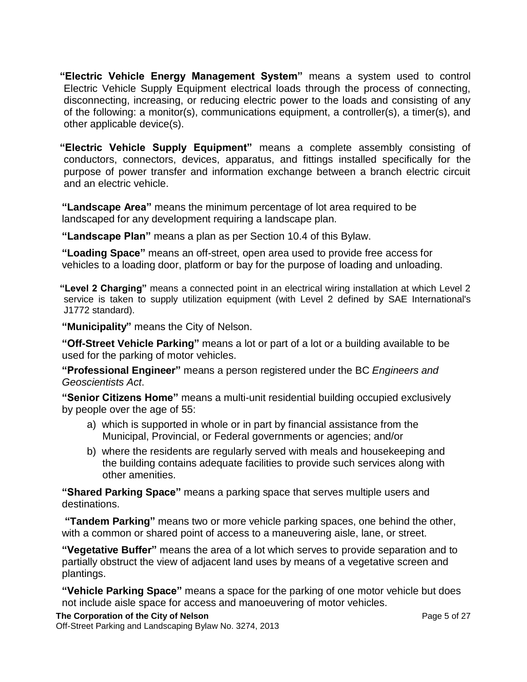**"Electric Vehicle Energy Management System"** means a system used to control Electric Vehicle Supply Equipment electrical loads through the process of connecting, disconnecting, increasing, or reducing electric power to the loads and consisting of any of the following: a monitor(s), communications equipment, a controller(s), a timer(s), and other applicable device(s).

**"Electric Vehicle Supply Equipment"** means a complete assembly consisting of conductors, connectors, devices, apparatus, and fittings installed specifically for the purpose of power transfer and information exchange between a branch electric circuit and an electric vehicle.

**"Landscape Area"** means the minimum percentage of lot area required to be landscaped for any development requiring a landscape plan.

**"Landscape Plan"** means a plan as per Section 10.4 of this Bylaw.

**"Loading Space"** means an off-street, open area used to provide free access for vehicles to a loading door, platform or bay for the purpose of loading and unloading.

**"Level 2 Charging"** means a connected point in an electrical wiring installation at which Level 2 service is taken to supply utilization equipment (with Level 2 defined by SAE International's J1772 standard).

**"Municipality"** means the City of Nelson.

**"Off-Street Vehicle Parking"** means a lot or part of a lot or a building available to be used for the parking of motor vehicles.

**"Professional Engineer"** means a person registered under the BC *Engineers and Geoscientists Act*.

**"Senior Citizens Home"** means a multi-unit residential building occupied exclusively by people over the age of 55:

- a) which is supported in whole or in part by financial assistance from the Municipal, Provincial, or Federal governments or agencies; and/or
- b) where the residents are regularly served with meals and housekeeping and the building contains adequate facilities to provide such services along with other amenities.

**"Shared Parking Space"** means a parking space that serves multiple users and destinations.

**"Tandem Parking"** means two or more vehicle parking spaces, one behind the other, with a common or shared point of access to a maneuvering aisle, lane, or street.

**"Vegetative Buffer"** means the area of a lot which serves to provide separation and to partially obstruct the view of adjacent land uses by means of a vegetative screen and plantings.

**"Vehicle Parking Space"** means a space for the parking of one motor vehicle but does not include aisle space for access and manoeuvering of motor vehicles.

**The Corporation of the City of Nelson**

Off-Street Parking and Landscaping Bylaw No. 3274, 2013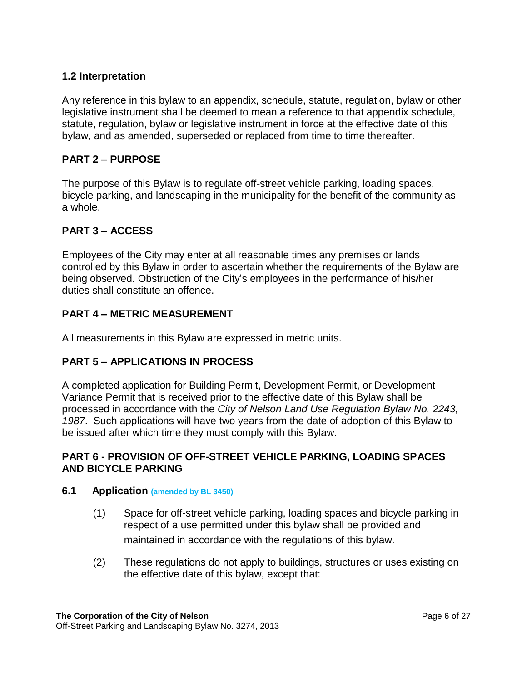# **1.2 Interpretation**

Any reference in this bylaw to an appendix, schedule, statute, regulation, bylaw or other legislative instrument shall be deemed to mean a reference to that appendix schedule, statute, regulation, bylaw or legislative instrument in force at the effective date of this bylaw, and as amended, superseded or replaced from time to time thereafter.

# <span id="page-5-0"></span>**PART 2 – PURPOSE**

The purpose of this Bylaw is to regulate off-street vehicle parking, loading spaces, bicycle parking, and landscaping in the municipality for the benefit of the community as a whole.

# <span id="page-5-1"></span>**PART 3 – ACCESS**

Employees of the City may enter at all reasonable times any premises or lands controlled by this Bylaw in order to ascertain whether the requirements of the Bylaw are being observed. Obstruction of the City's employees in the performance of his/her duties shall constitute an offence.

# <span id="page-5-2"></span>**PART 4 – METRIC MEASUREMENT**

All measurements in this Bylaw are expressed in metric units.

# <span id="page-5-3"></span>**PART 5 – APPLICATIONS IN PROCESS**

A completed application for Building Permit, Development Permit, or Development Variance Permit that is received prior to the effective date of this Bylaw shall be processed in accordance with the *City of Nelson Land Use Regulation Bylaw No. 2243, 1987*. Such applications will have two years from the date of adoption of this Bylaw to be issued after which time they must comply with this Bylaw.

## <span id="page-5-4"></span>**PART 6 - PROVISION OF OFF-STREET VEHICLE PARKING, LOADING SPACES AND BICYCLE PARKING**

#### <span id="page-5-5"></span>**6.1 Application (amended by BL 3450)**

- (1) Space for off-street vehicle parking, loading spaces and bicycle parking in respect of a use permitted under this bylaw shall be provided and maintained in accordance with the regulations of this bylaw.
- (2) These regulations do not apply to buildings, structures or uses existing on the effective date of this bylaw, except that: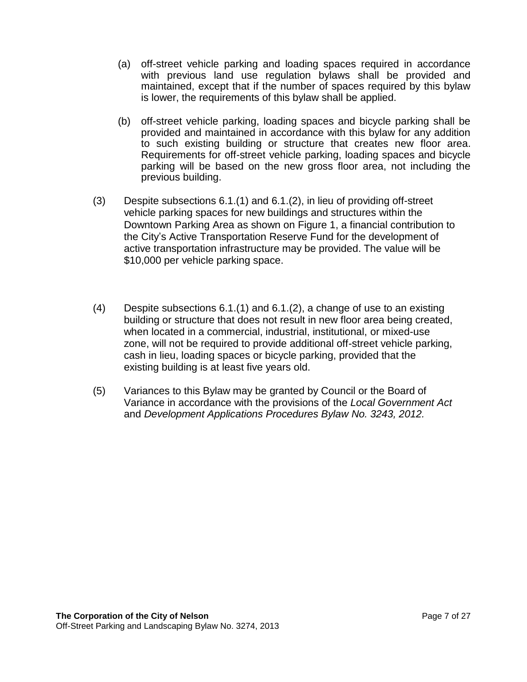- (a) off-street vehicle parking and loading spaces required in accordance with previous land use regulation bylaws shall be provided and maintained, except that if the number of spaces required by this bylaw is lower, the requirements of this bylaw shall be applied.
- (b) off-street vehicle parking, loading spaces and bicycle parking shall be provided and maintained in accordance with this bylaw for any addition to such existing building or structure that creates new floor area. Requirements for off-street vehicle parking, loading spaces and bicycle parking will be based on the new gross floor area, not including the previous building.
- (3) Despite subsections 6.1.(1) and 6.1.(2), in lieu of providing off-street vehicle parking spaces for new buildings and structures within the Downtown Parking Area as shown on Figure 1, a financial contribution to the City's Active Transportation Reserve Fund for the development of active transportation infrastructure may be provided. The value will be \$10,000 per vehicle parking space.
- (4) Despite subsections 6.1.(1) and 6.1.(2), a change of use to an existing building or structure that does not result in new floor area being created, when located in a commercial, industrial, institutional, or mixed-use zone, will not be required to provide additional off-street vehicle parking, cash in lieu, loading spaces or bicycle parking, provided that the existing building is at least five years old.
- (5) Variances to this Bylaw may be granted by Council or the Board of Variance in accordance with the provisions of the *Local Government Act*  and *Development Applications Procedures Bylaw No. 3243, 2012.*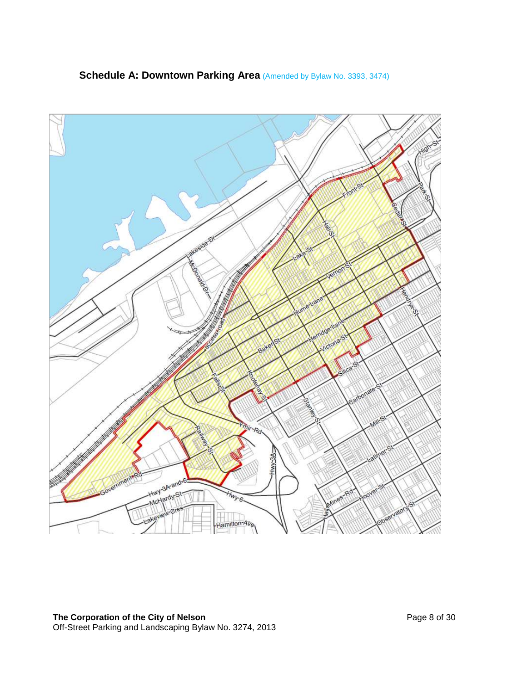

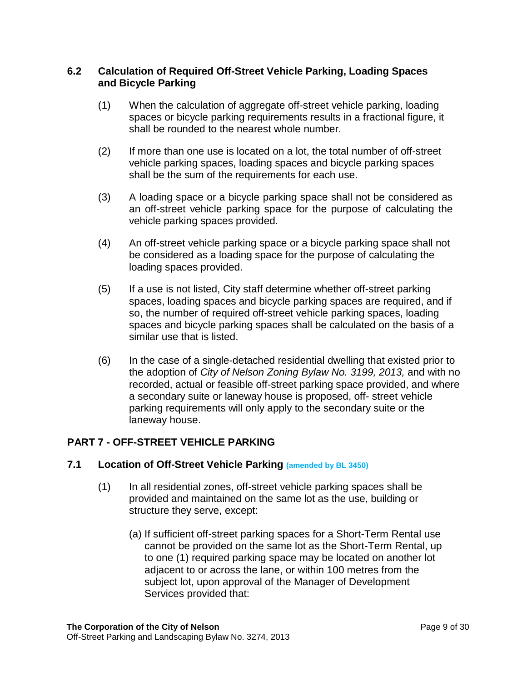## <span id="page-8-0"></span>**6.2 Calculation of Required Off-Street Vehicle Parking, Loading Spaces and Bicycle Parking**

- (1) When the calculation of aggregate off-street vehicle parking, loading spaces or bicycle parking requirements results in a fractional figure, it shall be rounded to the nearest whole number.
- (2) If more than one use is located on a lot, the total number of off-street vehicle parking spaces, loading spaces and bicycle parking spaces shall be the sum of the requirements for each use.
- (3) A loading space or a bicycle parking space shall not be considered as an off-street vehicle parking space for the purpose of calculating the vehicle parking spaces provided.
- (4) An off-street vehicle parking space or a bicycle parking space shall not be considered as a loading space for the purpose of calculating the loading spaces provided.
- (5) If a use is not listed, City staff determine whether off-street parking spaces, loading spaces and bicycle parking spaces are required, and if so, the number of required off-street vehicle parking spaces, loading spaces and bicycle parking spaces shall be calculated on the basis of a similar use that is listed.
- (6) In the case of a single-detached residential dwelling that existed prior to the adoption of *City of Nelson Zoning Bylaw No. 3199, 2013,* and with no recorded, actual or feasible off-street parking space provided, and where a secondary suite or laneway house is proposed, off- street vehicle parking requirements will only apply to the secondary suite or the laneway house.

# <span id="page-8-1"></span>**PART 7 - OFF-STREET VEHICLE PARKING**

## <span id="page-8-2"></span>**7.1 Location of Off-Street Vehicle Parking (amended by BL 3450)**

- (1) In all residential zones, off-street vehicle parking spaces shall be provided and maintained on the same lot as the use, building or structure they serve, except:
	- (a) If sufficient off-street parking spaces for a Short-Term Rental use cannot be provided on the same lot as the Short-Term Rental, up to one (1) required parking space may be located on another lot adjacent to or across the lane, or within 100 metres from the subject lot, upon approval of the Manager of Development Services provided that: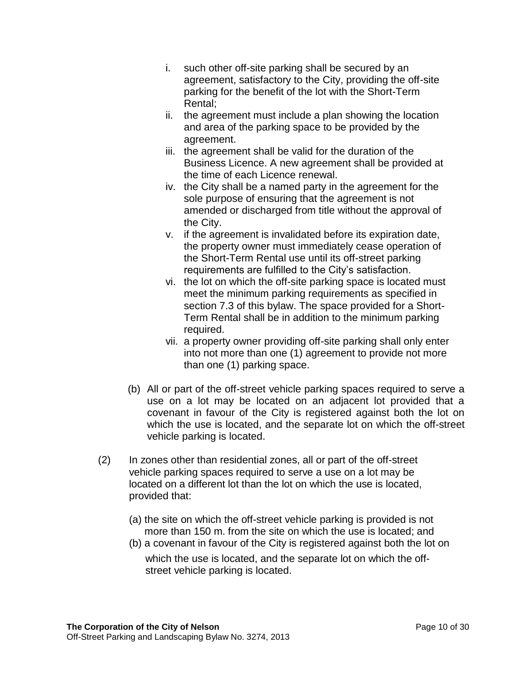- i. such other off-site parking shall be secured by an agreement, satisfactory to the City, providing the off-site parking for the benefit of the lot with the Short-Term Rental;
- ii. the agreement must include a plan showing the location and area of the parking space to be provided by the agreement.
- iii. the agreement shall be valid for the duration of the Business Licence. A new agreement shall be provided at the time of each Licence renewal.
- iv. the City shall be a named party in the agreement for the sole purpose of ensuring that the agreement is not amended or discharged from title without the approval of the City.
- v. if the agreement is invalidated before its expiration date, the property owner must immediately cease operation of the Short-Term Rental use until its off-street parking requirements are fulfilled to the City's satisfaction.
- vi. the lot on which the off-site parking space is located must meet the minimum parking requirements as specified in section 7.3 of this bylaw. The space provided for a Short-Term Rental shall be in addition to the minimum parking required.
- vii. a property owner providing off-site parking shall only enter into not more than one (1) agreement to provide not more than one (1) parking space.
- (b) All or part of the off-street vehicle parking spaces required to serve a use on a lot may be located on an adjacent lot provided that a covenant in favour of the City is registered against both the lot on which the use is located, and the separate lot on which the off-street vehicle parking is located.
- (2) In zones other than residential zones, all or part of the off-street vehicle parking spaces required to serve a use on a lot may be located on a different lot than the lot on which the use is located, provided that:
	- (a) the site on which the off-street vehicle parking is provided is not more than 150 m. from the site on which the use is located; and
	- (b) a covenant in favour of the City is registered against both the lot on which the use is located, and the separate lot on which the offstreet vehicle parking is located.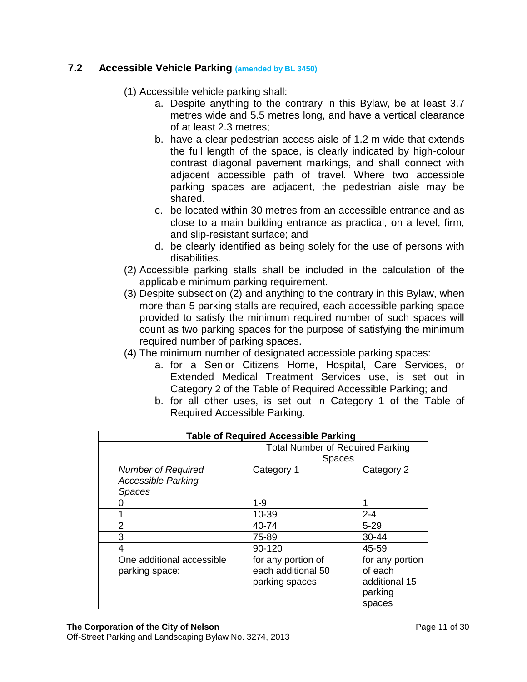# <span id="page-10-0"></span>**7.2 Accessible Vehicle Parking (amended by BL 3450)**

- (1) Accessible vehicle parking shall:
	- a. Despite anything to the contrary in this Bylaw, be at least 3.7 metres wide and 5.5 metres long, and have a vertical clearance of at least 2.3 metres;
	- b. have a clear pedestrian access aisle of 1.2 m wide that extends the full length of the space, is clearly indicated by high-colour contrast diagonal pavement markings, and shall connect with adjacent accessible path of travel. Where two accessible parking spaces are adjacent, the pedestrian aisle may be shared.
	- c. be located within 30 metres from an accessible entrance and as close to a main building entrance as practical, on a level, firm, and slip-resistant surface; and
	- d. be clearly identified as being solely for the use of persons with disabilities.
- (2) Accessible parking stalls shall be included in the calculation of the applicable minimum parking requirement.
- (3) Despite subsection (2) and anything to the contrary in this Bylaw, when more than 5 parking stalls are required, each accessible parking space provided to satisfy the minimum required number of such spaces will count as two parking spaces for the purpose of satisfying the minimum required number of parking spaces.
- (4) The minimum number of designated accessible parking spaces:
	- a. for a Senior Citizens Home, Hospital, Care Services, or Extended Medical Treatment Services use, is set out in Category 2 of the Table of Required Accessible Parking; and
	- b. for all other uses, is set out in Category 1 of the Table of Required Accessible Parking.

| <b>Table of Required Accessible Parking</b> |                                         |                 |
|---------------------------------------------|-----------------------------------------|-----------------|
|                                             | <b>Total Number of Required Parking</b> |                 |
|                                             | <b>Spaces</b>                           |                 |
| <b>Number of Required</b>                   | Category 1                              | Category 2      |
| <b>Accessible Parking</b>                   |                                         |                 |
| <b>Spaces</b>                               |                                         |                 |
|                                             | $1 - 9$                                 |                 |
|                                             | $10 - 39$                               | $2 - 4$         |
| 2                                           | 40-74                                   | $5 - 29$        |
| 3                                           | 75-89                                   | $30 - 44$       |
|                                             | 90-120                                  | 45-59           |
| One additional accessible                   | for any portion of                      | for any portion |
| parking space:                              | each additional 50                      | of each         |
|                                             | parking spaces                          | additional 15   |
|                                             |                                         | parking         |
|                                             |                                         | spaces          |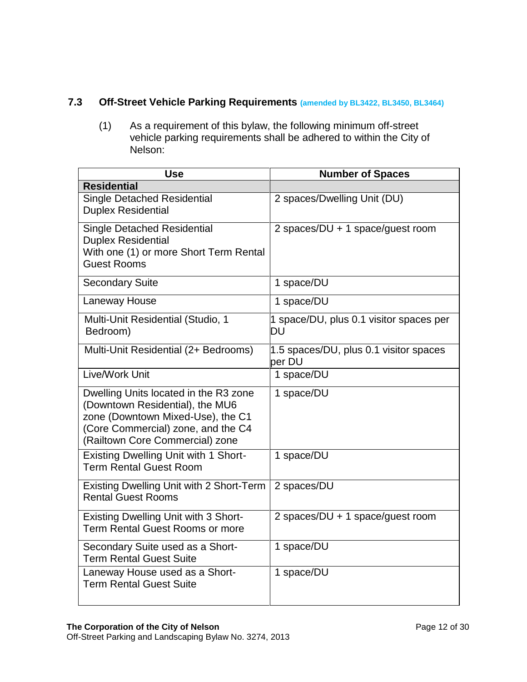# <span id="page-11-0"></span>**7.3 Off-Street Vehicle Parking Requirements (amended by BL3422, BL3450, BL3464)**

(1) As a requirement of this bylaw, the following minimum off-street vehicle parking requirements shall be adhered to within the City of Nelson:

| <b>Use</b>                                                                                                                                                                             | <b>Number of Spaces</b>                          |
|----------------------------------------------------------------------------------------------------------------------------------------------------------------------------------------|--------------------------------------------------|
| <b>Residential</b>                                                                                                                                                                     |                                                  |
| <b>Single Detached Residential</b><br><b>Duplex Residential</b>                                                                                                                        | 2 spaces/Dwelling Unit (DU)                      |
| <b>Single Detached Residential</b><br><b>Duplex Residential</b><br>With one (1) or more Short Term Rental<br><b>Guest Rooms</b>                                                        | 2 spaces/DU + 1 space/guest room                 |
| <b>Secondary Suite</b>                                                                                                                                                                 | 1 space/DU                                       |
| Laneway House                                                                                                                                                                          | 1 space/DU                                       |
| Multi-Unit Residential (Studio, 1<br>Bedroom)                                                                                                                                          | 1 space/DU, plus 0.1 visitor spaces per<br>DU    |
| Multi-Unit Residential (2+ Bedrooms)                                                                                                                                                   | 1.5 spaces/DU, plus 0.1 visitor spaces<br>per DU |
| Live/Work Unit                                                                                                                                                                         | 1 space/DU                                       |
| Dwelling Units located in the R3 zone<br>(Downtown Residential), the MU6<br>zone (Downtown Mixed-Use), the C1<br>(Core Commercial) zone, and the C4<br>(Railtown Core Commercial) zone | 1 space/DU                                       |
| <b>Existing Dwelling Unit with 1 Short-</b><br><b>Term Rental Guest Room</b>                                                                                                           | 1 space/DU                                       |
| <b>Existing Dwelling Unit with 2 Short-Term</b><br><b>Rental Guest Rooms</b>                                                                                                           | 2 spaces/DU                                      |
| <b>Existing Dwelling Unit with 3 Short-</b><br><b>Term Rental Guest Rooms or more</b>                                                                                                  | 2 spaces/DU + 1 space/guest room                 |
| Secondary Suite used as a Short-<br><b>Term Rental Guest Suite</b>                                                                                                                     | 1 space/DU                                       |
| Laneway House used as a Short-<br><b>Term Rental Guest Suite</b>                                                                                                                       | 1 space/DU                                       |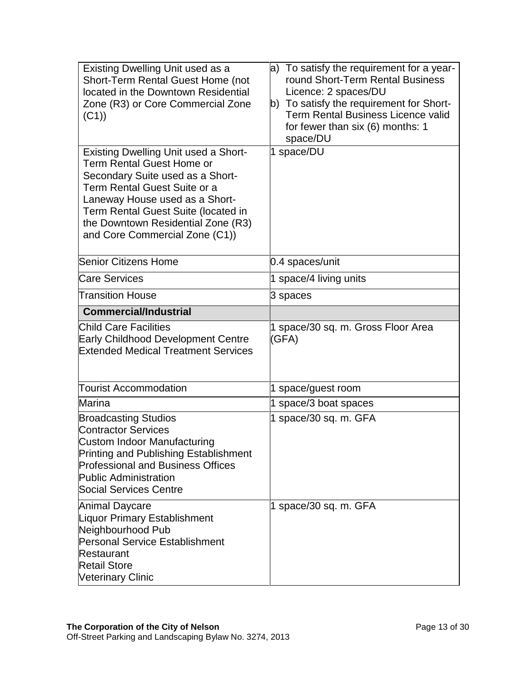| Existing Dwelling Unit used as a<br>Short-Term Rental Guest Home (not<br>located in the Downtown Residential<br>Zone (R3) or Core Commercial Zone<br>(C1)<br><b>Existing Dwelling Unit used a Short-</b><br>Term Rental Guest Home or<br>Secondary Suite used as a Short-<br>Term Rental Guest Suite or a<br>Laneway House used as a Short-<br>Term Rental Guest Suite (located in<br>the Downtown Residential Zone (R3)<br>and Core Commercial Zone (C1)) | a) To satisfy the requirement for a year-<br>round Short-Term Rental Business<br>Licence: 2 spaces/DU<br>b) To satisfy the requirement for Short-<br><b>Term Rental Business Licence valid</b><br>for fewer than six (6) months: 1<br>space/DU<br>1 space/DU |
|------------------------------------------------------------------------------------------------------------------------------------------------------------------------------------------------------------------------------------------------------------------------------------------------------------------------------------------------------------------------------------------------------------------------------------------------------------|--------------------------------------------------------------------------------------------------------------------------------------------------------------------------------------------------------------------------------------------------------------|
| Senior Citizens Home                                                                                                                                                                                                                                                                                                                                                                                                                                       | 0.4 spaces/unit                                                                                                                                                                                                                                              |
| Care Services                                                                                                                                                                                                                                                                                                                                                                                                                                              | 1 space/4 living units                                                                                                                                                                                                                                       |
| <b>Transition House</b>                                                                                                                                                                                                                                                                                                                                                                                                                                    | 3 spaces                                                                                                                                                                                                                                                     |
| <b>Commercial/Industrial</b>                                                                                                                                                                                                                                                                                                                                                                                                                               |                                                                                                                                                                                                                                                              |
| <b>Child Care Facilities</b><br>Early Childhood Development Centre                                                                                                                                                                                                                                                                                                                                                                                         | 1 space/30 sq. m. Gross Floor Area<br>(GFA)                                                                                                                                                                                                                  |
| <b>Extended Medical Treatment Services</b>                                                                                                                                                                                                                                                                                                                                                                                                                 |                                                                                                                                                                                                                                                              |
| <b>Tourist Accommodation</b>                                                                                                                                                                                                                                                                                                                                                                                                                               | 1 space/guest room                                                                                                                                                                                                                                           |
| <b>Marina</b>                                                                                                                                                                                                                                                                                                                                                                                                                                              | 1 space/3 boat spaces                                                                                                                                                                                                                                        |
| <b>Broadcasting Studios</b><br><b>Contractor Services</b><br>Custom Indoor Manufacturing<br>Printing and Publishing Establishment<br><b>Professional and Business Offices</b><br><b>Public Administration</b><br>Social Services Centre                                                                                                                                                                                                                    | 1 space/30 sq. m. GFA                                                                                                                                                                                                                                        |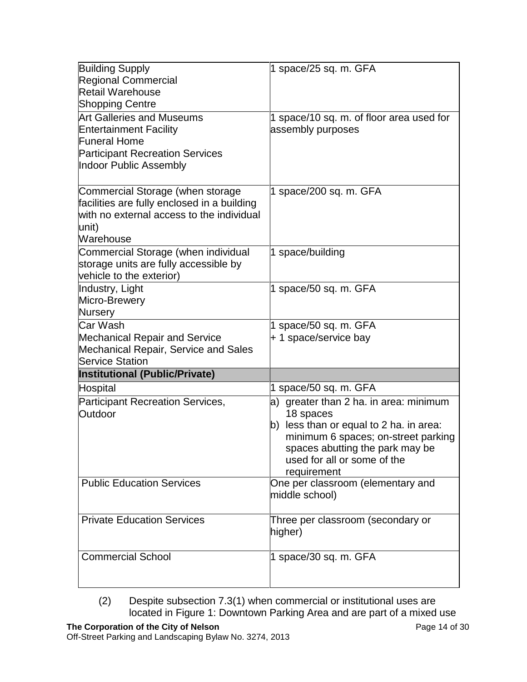| <b>Building Supply</b><br><b>Regional Commercial</b><br>Retail Warehouse<br><b>Shopping Centre</b>                                                           | 1 space/25 sq. m. GFA                                                                                                                                                                                                  |
|--------------------------------------------------------------------------------------------------------------------------------------------------------------|------------------------------------------------------------------------------------------------------------------------------------------------------------------------------------------------------------------------|
| <b>Art Galleries and Museums</b><br><b>Entertainment Facility</b><br><b>Funeral Home</b><br><b>Participant Recreation Services</b><br>Indoor Public Assembly | 1 space/10 sq. m. of floor area used for<br>assembly purposes                                                                                                                                                          |
| Commercial Storage (when storage<br>facilities are fully enclosed in a building<br>with no external access to the individual<br>unit)<br>Warehouse           | 1 space/200 sq. m. GFA                                                                                                                                                                                                 |
| Commercial Storage (when individual<br>storage units are fully accessible by<br>vehicle to the exterior)                                                     | 1 space/building                                                                                                                                                                                                       |
| Industry, Light<br>Micro-Brewery<br>Nursery                                                                                                                  | 1 space/50 sq. m. GFA                                                                                                                                                                                                  |
| Car Wash<br><b>Mechanical Repair and Service</b><br><b>Mechanical Repair, Service and Sales</b><br><b>Service Station</b>                                    | 1 space/50 sq. m. GFA<br>+ 1 space/service bay                                                                                                                                                                         |
| <b>Institutional (Public/Private)</b>                                                                                                                        |                                                                                                                                                                                                                        |
| Hospital                                                                                                                                                     | 1 space/50 sq. m. GFA                                                                                                                                                                                                  |
| Participant Recreation Services,<br>Outdoor                                                                                                                  | a) greater than 2 ha. in area: minimum<br>18 spaces<br>b) less than or equal to 2 ha. in area:<br>minimum 6 spaces; on-street parking<br>spaces abutting the park may be<br>used for all or some of the<br>requirement |
| <b>Public Education Services</b>                                                                                                                             | One per classroom (elementary and<br>middle school)                                                                                                                                                                    |
| <b>Private Education Services</b>                                                                                                                            | Three per classroom (secondary or<br>higher)                                                                                                                                                                           |
| <b>Commercial School</b>                                                                                                                                     | 1 space/30 sq. m. GFA                                                                                                                                                                                                  |

(2) Despite subsection 7.3(1) when commercial or institutional uses are located in Figure 1: Downtown Parking Area and are part of a mixed use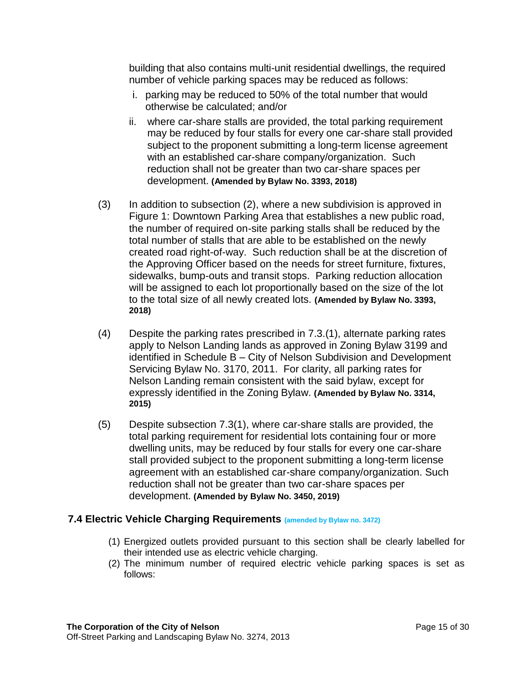building that also contains multi-unit residential dwellings, the required number of vehicle parking spaces may be reduced as follows:

- i. parking may be reduced to 50% of the total number that would otherwise be calculated; and/or
- ii. where car-share stalls are provided, the total parking requirement may be reduced by four stalls for every one car-share stall provided subject to the proponent submitting a long-term license agreement with an established car-share company/organization. Such reduction shall not be greater than two car-share spaces per development. **(Amended by Bylaw No. 3393, 2018)**
- (3) In addition to subsection (2), where a new subdivision is approved in Figure 1: Downtown Parking Area that establishes a new public road, the number of required on-site parking stalls shall be reduced by the total number of stalls that are able to be established on the newly created road right-of-way. Such reduction shall be at the discretion of the Approving Officer based on the needs for street furniture, fixtures, sidewalks, bump-outs and transit stops. Parking reduction allocation will be assigned to each lot proportionally based on the size of the lot to the total size of all newly created lots. **(Amended by Bylaw No. 3393, 2018)**
- (4) Despite the parking rates prescribed in 7.3.(1), alternate parking rates apply to Nelson Landing lands as approved in Zoning Bylaw 3199 and identified in Schedule B – City of Nelson Subdivision and Development Servicing Bylaw No. 3170, 2011. For clarity, all parking rates for Nelson Landing remain consistent with the said bylaw, except for expressly identified in the Zoning Bylaw. **(Amended by Bylaw No. 3314, 2015)**
- (5) Despite subsection 7.3(1), where car-share stalls are provided, the total parking requirement for residential lots containing four or more dwelling units, may be reduced by four stalls for every one car-share stall provided subject to the proponent submitting a long-term license agreement with an established car-share company/organization. Such reduction shall not be greater than two car-share spaces per development. **(Amended by Bylaw No. 3450, 2019)**

#### <span id="page-14-0"></span>**7.4 Electric Vehicle Charging Requirements (amended by Bylaw no. 3472)**

- (1) Energized outlets provided pursuant to this section shall be clearly labelled for their intended use as electric vehicle charging.
- (2) The minimum number of required electric vehicle parking spaces is set as follows: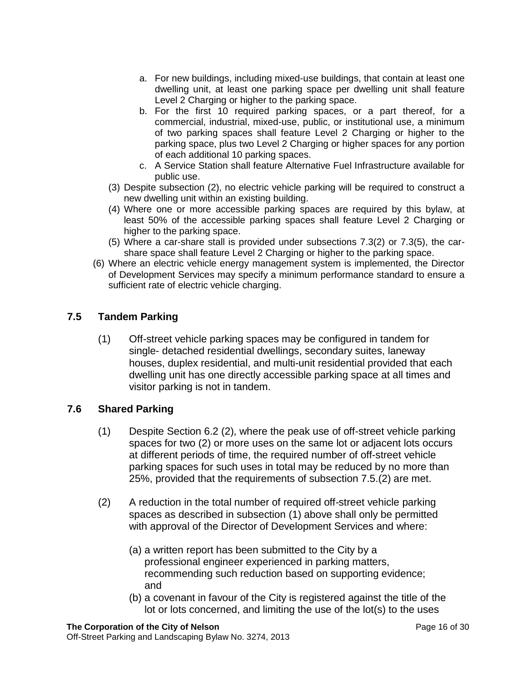- a. For new buildings, including mixed-use buildings, that contain at least one dwelling unit, at least one parking space per dwelling unit shall feature Level 2 Charging or higher to the parking space.
- b. For the first 10 required parking spaces, or a part thereof, for a commercial, industrial, mixed-use, public, or institutional use, a minimum of two parking spaces shall feature Level 2 Charging or higher to the parking space, plus two Level 2 Charging or higher spaces for any portion of each additional 10 parking spaces.
- c. A Service Station shall feature Alternative Fuel Infrastructure available for public use.
- (3) Despite subsection (2), no electric vehicle parking will be required to construct a new dwelling unit within an existing building.
- (4) Where one or more accessible parking spaces are required by this bylaw, at least 50% of the accessible parking spaces shall feature Level 2 Charging or higher to the parking space.
- (5) Where a car-share stall is provided under subsections 7.3(2) or 7.3(5), the carshare space shall feature Level 2 Charging or higher to the parking space.
- (6) Where an electric vehicle energy management system is implemented, the Director of Development Services may specify a minimum performance standard to ensure a sufficient rate of electric vehicle charging.

# <span id="page-15-0"></span>**7.5 Tandem Parking**

(1) Off-street vehicle parking spaces may be configured in tandem for single- detached residential dwellings, secondary suites, laneway houses, duplex residential, and multi-unit residential provided that each dwelling unit has one directly accessible parking space at all times and visitor parking is not in tandem.

## <span id="page-15-1"></span>**7.6 Shared Parking**

- (1) Despite Section 6.2 (2), where the peak use of off-street vehicle parking spaces for two (2) or more uses on the same lot or adjacent lots occurs at different periods of time, the required number of off-street vehicle parking spaces for such uses in total may be reduced by no more than 25%, provided that the requirements of subsection 7.5.(2) are met.
- (2) A reduction in the total number of required off-street vehicle parking spaces as described in subsection (1) above shall only be permitted with approval of the Director of Development Services and where:
	- (a) a written report has been submitted to the City by a professional engineer experienced in parking matters, recommending such reduction based on supporting evidence; and
	- (b) a covenant in favour of the City is registered against the title of the lot or lots concerned, and limiting the use of the lot(s) to the uses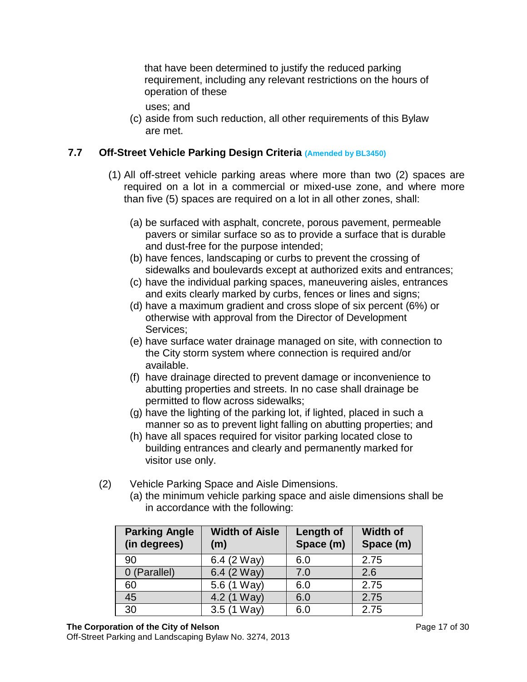that have been determined to justify the reduced parking requirement, including any relevant restrictions on the hours of operation of these

uses; and

(c) aside from such reduction, all other requirements of this Bylaw are met.

# <span id="page-16-0"></span>**7.7 Off-Street Vehicle Parking Design Criteria (Amended by BL3450)**

- (1) All off-street vehicle parking areas where more than two (2) spaces are required on a lot in a commercial or mixed-use zone, and where more than five (5) spaces are required on a lot in all other zones, shall:
	- (a) be surfaced with asphalt, concrete, porous pavement, permeable pavers or similar surface so as to provide a surface that is durable and dust-free for the purpose intended;
	- (b) have fences, landscaping or curbs to prevent the crossing of sidewalks and boulevards except at authorized exits and entrances;
	- (c) have the individual parking spaces, maneuvering aisles, entrances and exits clearly marked by curbs, fences or lines and signs;
	- (d) have a maximum gradient and cross slope of six percent (6%) or otherwise with approval from the Director of Development Services;
	- (e) have surface water drainage managed on site, with connection to the City storm system where connection is required and/or available.
	- (f) have drainage directed to prevent damage or inconvenience to abutting properties and streets. In no case shall drainage be permitted to flow across sidewalks;
	- (g) have the lighting of the parking lot, if lighted, placed in such a manner so as to prevent light falling on abutting properties; and
	- (h) have all spaces required for visitor parking located close to building entrances and clearly and permanently marked for visitor use only.
- (2) Vehicle Parking Space and Aisle Dimensions.
	- (a) the minimum vehicle parking space and aisle dimensions shall be in accordance with the following:

| <b>Parking Angle</b><br>(in degrees) | <b>Width of Aisle</b><br>(m) | Length of<br>Space (m) | <b>Width of</b><br>Space (m) |
|--------------------------------------|------------------------------|------------------------|------------------------------|
| 90                                   | 6.4 (2 Way)                  | 6.0                    | 2.75                         |
| 0 (Parallel)                         | 6.4 (2 Way)                  | 7.0                    | 2.6                          |
| 60                                   | 5.6 (1 Way)                  | 6.0                    | 2.75                         |
| 45                                   | 4.2 (1 Way)                  | 6.0                    | 2.75                         |
| 30                                   | $3.5(1 \text{ Way})$         | 6.0                    | 2.75                         |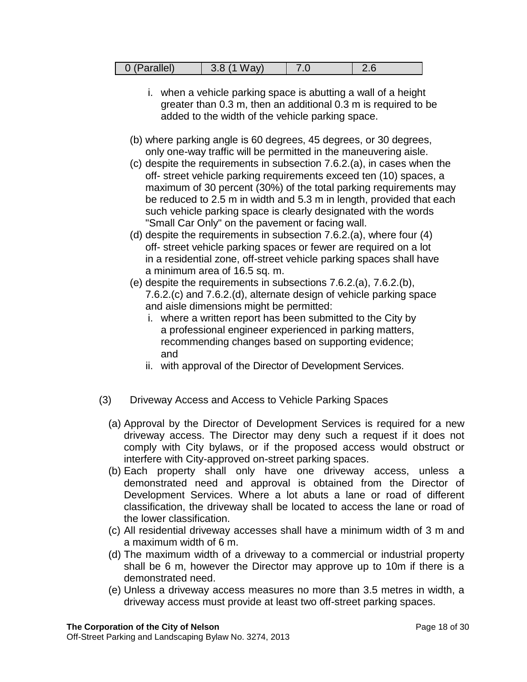| 0 (Parallel) | $3.8(1 \text{ Way})$ | 7.0 |  |
|--------------|----------------------|-----|--|
|--------------|----------------------|-----|--|

- i. when a vehicle parking space is abutting a wall of a height greater than 0.3 m, then an additional 0.3 m is required to be added to the width of the vehicle parking space.
- (b) where parking angle is 60 degrees, 45 degrees, or 30 degrees, only one-way traffic will be permitted in the maneuvering aisle.
- (c) despite the requirements in subsection 7.6.2.(a), in cases when the off- street vehicle parking requirements exceed ten (10) spaces, a maximum of 30 percent (30%) of the total parking requirements may be reduced to 2.5 m in width and 5.3 m in length, provided that each such vehicle parking space is clearly designated with the words "Small Car Only" on the pavement or facing wall.
- (d) despite the requirements in subsection 7.6.2.(a), where four (4) off- street vehicle parking spaces or fewer are required on a lot in a residential zone, off-street vehicle parking spaces shall have a minimum area of 16.5 sq. m.
- (e) despite the requirements in subsections 7.6.2.(a), 7.6.2.(b), 7.6.2.(c) and 7.6.2.(d), alternate design of vehicle parking space and aisle dimensions might be permitted:
	- i. where a written report has been submitted to the City by a professional engineer experienced in parking matters, recommending changes based on supporting evidence; and
	- ii. with approval of the Director of Development Services.
- (3) Driveway Access and Access to Vehicle Parking Spaces
	- (a) Approval by the Director of Development Services is required for a new driveway access. The Director may deny such a request if it does not comply with City bylaws, or if the proposed access would obstruct or interfere with City-approved on-street parking spaces.
	- (b) Each property shall only have one driveway access, unless a demonstrated need and approval is obtained from the Director of Development Services. Where a lot abuts a lane or road of different classification, the driveway shall be located to access the lane or road of the lower classification.
	- (c) All residential driveway accesses shall have a minimum width of 3 m and a maximum width of 6 m.
	- (d) The maximum width of a driveway to a commercial or industrial property shall be 6 m, however the Director may approve up to 10m if there is a demonstrated need.
	- (e) Unless a driveway access measures no more than 3.5 metres in width, a driveway access must provide at least two off-street parking spaces.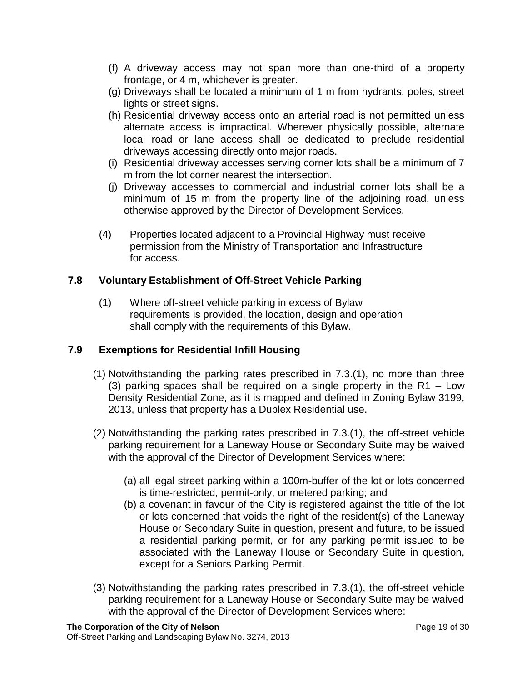- (f) A driveway access may not span more than one-third of a property frontage, or 4 m, whichever is greater.
- (g) Driveways shall be located a minimum of 1 m from hydrants, poles, street lights or street signs.
- (h) Residential driveway access onto an arterial road is not permitted unless alternate access is impractical. Wherever physically possible, alternate local road or lane access shall be dedicated to preclude residential driveways accessing directly onto major roads.
- (i) Residential driveway accesses serving corner lots shall be a minimum of 7 m from the lot corner nearest the intersection.
- (j) Driveway accesses to commercial and industrial corner lots shall be a minimum of 15 m from the property line of the adjoining road, unless otherwise approved by the Director of Development Services.
- (4) Properties located adjacent to a Provincial Highway must receive permission from the Ministry of Transportation and Infrastructure for access.

# <span id="page-18-0"></span>**7.8 Voluntary Establishment of Off-Street Vehicle Parking**

(1) Where off-street vehicle parking in excess of Bylaw requirements is provided, the location, design and operation shall comply with the requirements of this Bylaw.

# <span id="page-18-1"></span>**7.9 Exemptions for Residential Infill Housing**

- (1) Notwithstanding the parking rates prescribed in 7.3.(1), no more than three (3) parking spaces shall be required on a single property in the R1 – Low Density Residential Zone, as it is mapped and defined in Zoning Bylaw 3199, 2013, unless that property has a Duplex Residential use.
- (2) Notwithstanding the parking rates prescribed in 7.3.(1), the off-street vehicle parking requirement for a Laneway House or Secondary Suite may be waived with the approval of the Director of Development Services where:
	- (a) all legal street parking within a 100m-buffer of the lot or lots concerned is time-restricted, permit-only, or metered parking; and
	- (b) a covenant in favour of the City is registered against the title of the lot or lots concerned that voids the right of the resident(s) of the Laneway House or Secondary Suite in question, present and future, to be issued a residential parking permit, or for any parking permit issued to be associated with the Laneway House or Secondary Suite in question, except for a Seniors Parking Permit.
- (3) Notwithstanding the parking rates prescribed in 7.3.(1), the off-street vehicle parking requirement for a Laneway House or Secondary Suite may be waived with the approval of the Director of Development Services where: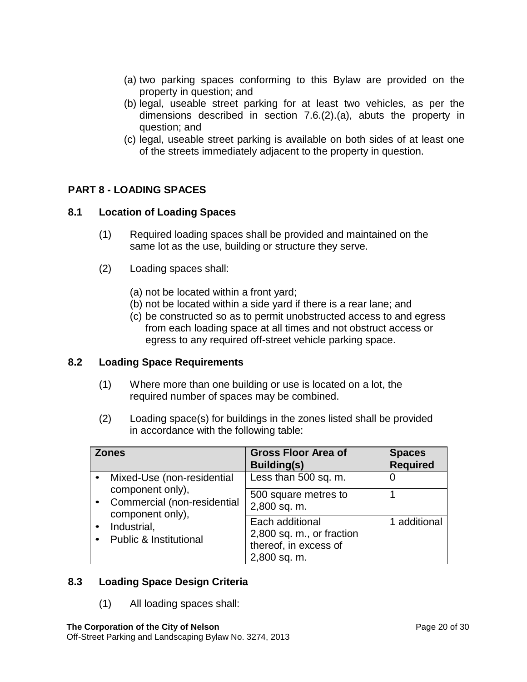- (a) two parking spaces conforming to this Bylaw are provided on the property in question; and
- (b) legal, useable street parking for at least two vehicles, as per the dimensions described in section 7.6.(2).(a), abuts the property in question; and
- (c) legal, useable street parking is available on both sides of at least one of the streets immediately adjacent to the property in question.

# <span id="page-19-0"></span>**PART 8 - LOADING SPACES**

## <span id="page-19-1"></span>**8.1 Location of Loading Spaces**

- (1) Required loading spaces shall be provided and maintained on the same lot as the use, building or structure they serve.
- (2) Loading spaces shall:
	- (a) not be located within a front yard;
	- (b) not be located within a side yard if there is a rear lane; and
	- (c) be constructed so as to permit unobstructed access to and egress from each loading space at all times and not obstruct access or egress to any required off-street vehicle parking space.

## <span id="page-19-2"></span>**8.2 Loading Space Requirements**

- (1) Where more than one building or use is located on a lot, the required number of spaces may be combined.
- (2) Loading space(s) for buildings in the zones listed shall be provided in accordance with the following table:

| <b>Zones</b>                                                        | <b>Gross Floor Area of</b><br>Building(s)                                             | <b>Spaces</b><br><b>Required</b> |
|---------------------------------------------------------------------|---------------------------------------------------------------------------------------|----------------------------------|
| Mixed-Use (non-residential                                          | Less than 500 sq. m.                                                                  |                                  |
| component only),<br>Commercial (non-residential<br>component only), | 500 square metres to<br>2,800 sq. m.                                                  |                                  |
| Industrial,<br><b>Public &amp; Institutional</b>                    | Each additional<br>2,800 sq. m., or fraction<br>thereof, in excess of<br>2,800 sq. m. | 1 additional                     |

## <span id="page-19-3"></span>**8.3 Loading Space Design Criteria**

(1) All loading spaces shall: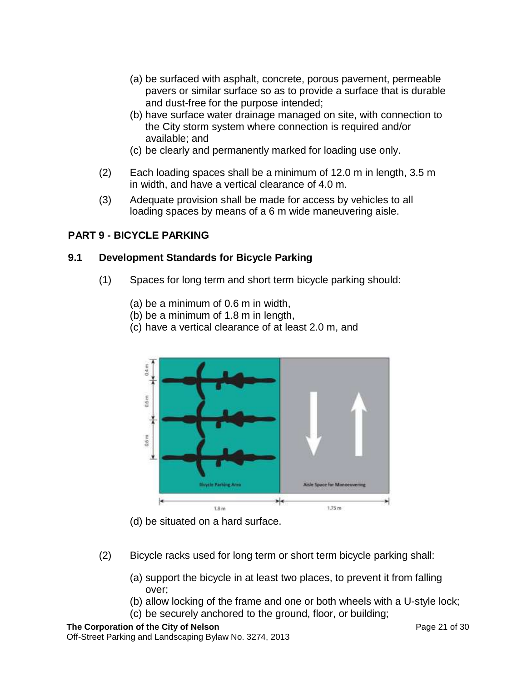- (a) be surfaced with asphalt, concrete, porous pavement, permeable pavers or similar surface so as to provide a surface that is durable and dust-free for the purpose intended;
- (b) have surface water drainage managed on site, with connection to the City storm system where connection is required and/or available; and
- (c) be clearly and permanently marked for loading use only.
- (2) Each loading spaces shall be a minimum of 12.0 m in length, 3.5 m in width, and have a vertical clearance of 4.0 m.
- (3) Adequate provision shall be made for access by vehicles to all loading spaces by means of a 6 m wide maneuvering aisle.

## <span id="page-20-0"></span>**PART 9 - BICYCLE PARKING**

#### <span id="page-20-1"></span>**9.1 Development Standards for Bicycle Parking**

- (1) Spaces for long term and short term bicycle parking should:
	- (a) be a minimum of 0.6 m in width,
	- (b) be a minimum of 1.8 m in length,
	- (c) have a vertical clearance of at least 2.0 m, and



(d) be situated on a hard surface.

- (2) Bicycle racks used for long term or short term bicycle parking shall:
	- (a) support the bicycle in at least two places, to prevent it from falling over;
	- (b) allow locking of the frame and one or both wheels with a U-style lock;
	- (c) be securely anchored to the ground, floor, or building;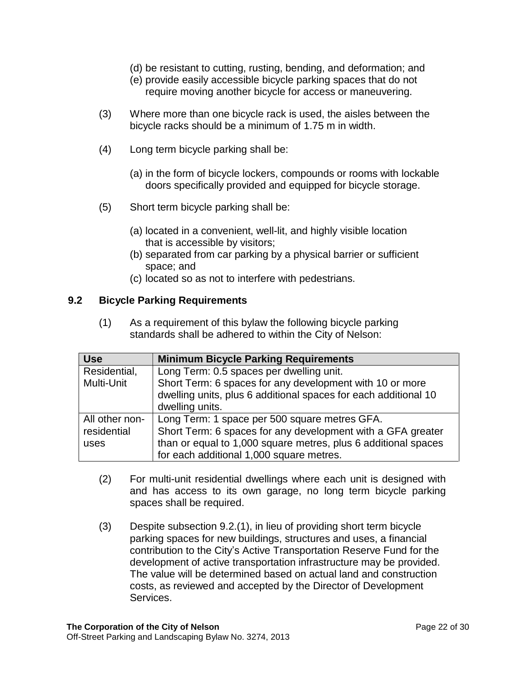- (d) be resistant to cutting, rusting, bending, and deformation; and
- (e) provide easily accessible bicycle parking spaces that do not require moving another bicycle for access or maneuvering.
- (3) Where more than one bicycle rack is used, the aisles between the bicycle racks should be a minimum of 1.75 m in width.
- (4) Long term bicycle parking shall be:
	- (a) in the form of bicycle lockers, compounds or rooms with lockable doors specifically provided and equipped for bicycle storage.
- (5) Short term bicycle parking shall be:
	- (a) located in a convenient, well-lit, and highly visible location that is accessible by visitors;
	- (b) separated from car parking by a physical barrier or sufficient space; and
	- (c) located so as not to interfere with pedestrians.

#### <span id="page-21-0"></span>**9.2 Bicycle Parking Requirements**

(1) As a requirement of this bylaw the following bicycle parking standards shall be adhered to within the City of Nelson:

| <b>Use</b>     | <b>Minimum Bicycle Parking Requirements</b>                     |
|----------------|-----------------------------------------------------------------|
| Residential,   | Long Term: 0.5 spaces per dwelling unit.                        |
| Multi-Unit     | Short Term: 6 spaces for any development with 10 or more        |
|                | dwelling units, plus 6 additional spaces for each additional 10 |
|                | dwelling units.                                                 |
| All other non- | Long Term: 1 space per 500 square metres GFA.                   |
| residential    | Short Term: 6 spaces for any development with a GFA greater     |
| uses           | than or equal to 1,000 square metres, plus 6 additional spaces  |
|                | for each additional 1,000 square metres.                        |

- (2) For multi-unit residential dwellings where each unit is designed with and has access to its own garage, no long term bicycle parking spaces shall be required.
- (3) Despite subsection 9.2.(1), in lieu of providing short term bicycle parking spaces for new buildings, structures and uses, a financial contribution to the City's Active Transportation Reserve Fund for the development of active transportation infrastructure may be provided. The value will be determined based on actual land and construction costs, as reviewed and accepted by the Director of Development Services.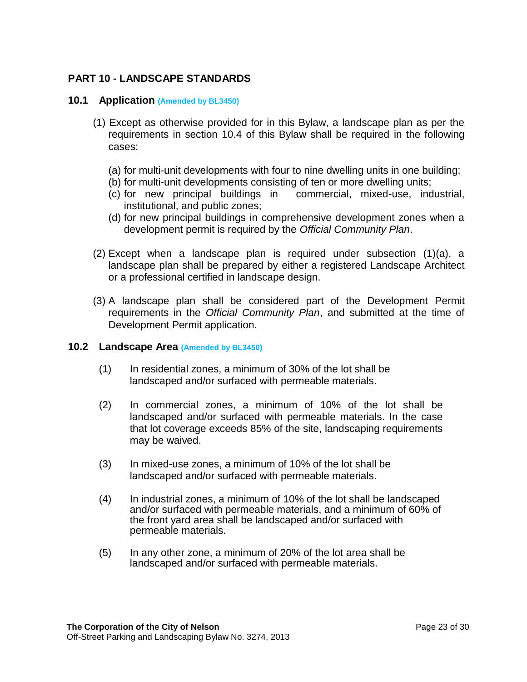# <span id="page-22-0"></span>**PART 10 - LANDSCAPE STANDARDS**

#### <span id="page-22-1"></span>**10.1 Application (Amended by BL3450)**

- (1) Except as otherwise provided for in this Bylaw, a landscape plan as per the requirements in section 10.4 of this Bylaw shall be required in the following cases:
	- (a) for multi-unit developments with four to nine dwelling units in one building;
	- (b) for multi-unit developments consisting of ten or more dwelling units;
	- (c) for new principal buildings in commercial, mixed-use, industrial, institutional, and public zones;
	- (d) for new principal buildings in comprehensive development zones when a development permit is required by the *Official Community Plan*.
- (2) Except when a landscape plan is required under subsection (1)(a), a landscape plan shall be prepared by either a registered Landscape Architect or a professional certified in landscape design.
- (3) A landscape plan shall be considered part of the Development Permit requirements in the *Official Community Plan*, and submitted at the time of Development Permit application.

#### <span id="page-22-2"></span>**10.2 Landscape Area (Amended by BL3450)**

- (1) In residential zones, a minimum of 30% of the lot shall be landscaped and/or surfaced with permeable materials.
- (2) In commercial zones, a minimum of 10% of the lot shall be landscaped and/or surfaced with permeable materials. In the case that lot coverage exceeds 85% of the site, landscaping requirements may be waived.
- (3) In mixed-use zones, a minimum of 10% of the lot shall be landscaped and/or surfaced with permeable materials.
- (4) In industrial zones, a minimum of 10% of the lot shall be landscaped and/or surfaced with permeable materials, and a minimum of 60% of the front yard area shall be landscaped and/or surfaced with permeable materials.
- (5) In any other zone, a minimum of 20% of the lot area shall be landscaped and/or surfaced with permeable materials.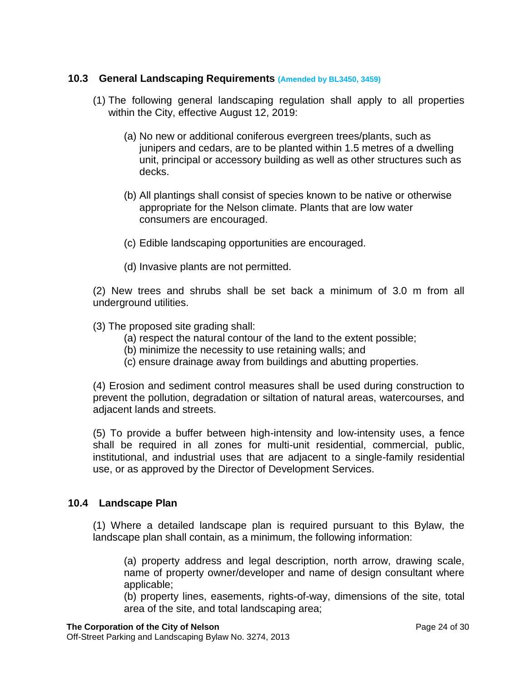## <span id="page-23-0"></span>**10.3 General Landscaping Requirements (Amended by BL3450, 3459)**

- (1) The following general landscaping regulation shall apply to all properties within the City, effective August 12, 2019:
	- (a) No new or additional coniferous evergreen trees/plants, such as junipers and cedars, are to be planted within 1.5 metres of a dwelling unit, principal or accessory building as well as other structures such as decks.
	- (b) All plantings shall consist of species known to be native or otherwise appropriate for the Nelson climate. Plants that are low water consumers are encouraged.
	- (c) Edible landscaping opportunities are encouraged.
	- (d) Invasive plants are not permitted.

(2) New trees and shrubs shall be set back a minimum of 3.0 m from all underground utilities.

- (3) The proposed site grading shall:
	- (a) respect the natural contour of the land to the extent possible;
	- (b) minimize the necessity to use retaining walls; and
	- (c) ensure drainage away from buildings and abutting properties.

(4) Erosion and sediment control measures shall be used during construction to prevent the pollution, degradation or siltation of natural areas, watercourses, and adjacent lands and streets.

(5) To provide a buffer between high-intensity and low-intensity uses, a fence shall be required in all zones for multi-unit residential, commercial, public, institutional, and industrial uses that are adjacent to a single-family residential use, or as approved by the Director of Development Services.

## <span id="page-23-1"></span>**10.4 Landscape Plan**

(1) Where a detailed landscape plan is required pursuant to this Bylaw, the landscape plan shall contain, as a minimum, the following information:

(a) property address and legal description, north arrow, drawing scale, name of property owner/developer and name of design consultant where applicable;

(b) property lines, easements, rights-of-way, dimensions of the site, total area of the site, and total landscaping area;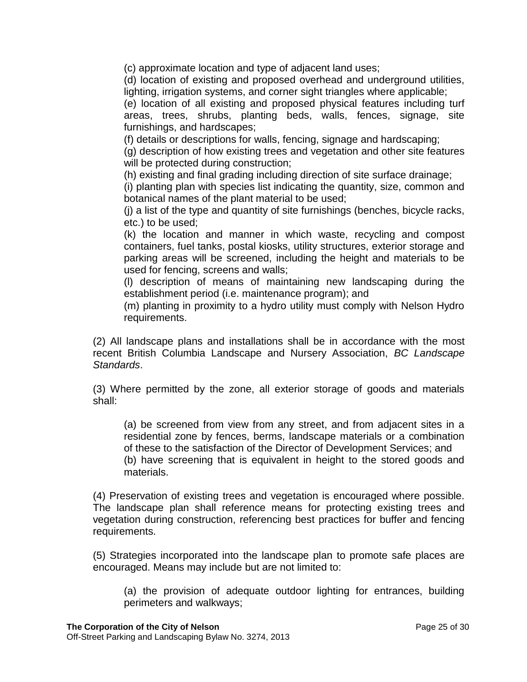(c) approximate location and type of adjacent land uses;

(d) location of existing and proposed overhead and underground utilities, lighting, irrigation systems, and corner sight triangles where applicable;

(e) location of all existing and proposed physical features including turf areas, trees, shrubs, planting beds, walls, fences, signage, site furnishings, and hardscapes;

(f) details or descriptions for walls, fencing, signage and hardscaping;

(g) description of how existing trees and vegetation and other site features will be protected during construction;

(h) existing and final grading including direction of site surface drainage;

(i) planting plan with species list indicating the quantity, size, common and botanical names of the plant material to be used;

(j) a list of the type and quantity of site furnishings (benches, bicycle racks, etc.) to be used;

(k) the location and manner in which waste, recycling and compost containers, fuel tanks, postal kiosks, utility structures, exterior storage and parking areas will be screened, including the height and materials to be used for fencing, screens and walls;

(l) description of means of maintaining new landscaping during the establishment period (i.e. maintenance program); and

(m) planting in proximity to a hydro utility must comply with Nelson Hydro requirements.

(2) All landscape plans and installations shall be in accordance with the most recent British Columbia Landscape and Nursery Association, *BC Landscape Standards*.

(3) Where permitted by the zone, all exterior storage of goods and materials shall:

(a) be screened from view from any street, and from adjacent sites in a residential zone by fences, berms, landscape materials or a combination of these to the satisfaction of the Director of Development Services; and (b) have screening that is equivalent in height to the stored goods and materials.

(4) Preservation of existing trees and vegetation is encouraged where possible. The landscape plan shall reference means for protecting existing trees and vegetation during construction, referencing best practices for buffer and fencing requirements.

(5) Strategies incorporated into the landscape plan to promote safe places are encouraged. Means may include but are not limited to:

(a) the provision of adequate outdoor lighting for entrances, building perimeters and walkways;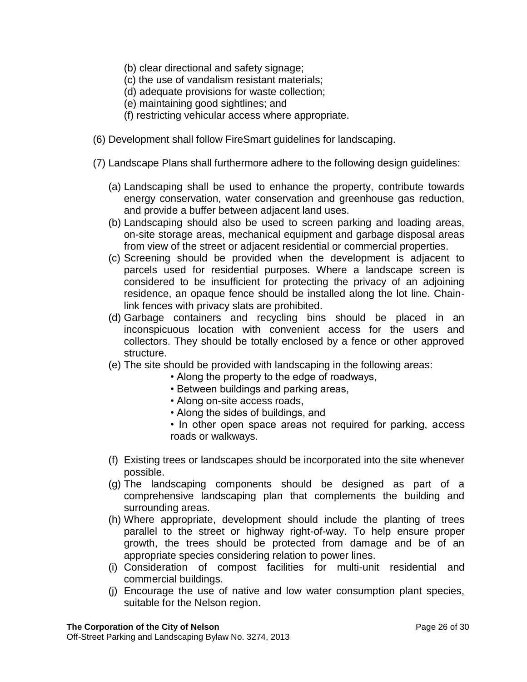- (b) clear directional and safety signage;
- (c) the use of vandalism resistant materials;
- (d) adequate provisions for waste collection;
- (e) maintaining good sightlines; and
- (f) restricting vehicular access where appropriate.
- (6) Development shall follow FireSmart guidelines for landscaping.
- (7) Landscape Plans shall furthermore adhere to the following design guidelines:
	- (a) Landscaping shall be used to enhance the property, contribute towards energy conservation, water conservation and greenhouse gas reduction, and provide a buffer between adjacent land uses.
	- (b) Landscaping should also be used to screen parking and loading areas, on-site storage areas, mechanical equipment and garbage disposal areas from view of the street or adjacent residential or commercial properties.
	- (c) Screening should be provided when the development is adjacent to parcels used for residential purposes. Where a landscape screen is considered to be insufficient for protecting the privacy of an adjoining residence, an opaque fence should be installed along the lot line. Chainlink fences with privacy slats are prohibited.
	- (d) Garbage containers and recycling bins should be placed in an inconspicuous location with convenient access for the users and collectors. They should be totally enclosed by a fence or other approved structure.
	- (e) The site should be provided with landscaping in the following areas:
		- Along the property to the edge of roadways,
		- Between buildings and parking areas,
		- Along on-site access roads,
		- Along the sides of buildings, and
		- In other open space areas not required for parking, access roads or walkways.
	- (f) Existing trees or landscapes should be incorporated into the site whenever possible.
	- (g) The landscaping components should be designed as part of a comprehensive landscaping plan that complements the building and surrounding areas.
	- (h) Where appropriate, development should include the planting of trees parallel to the street or highway right-of-way. To help ensure proper growth, the trees should be protected from damage and be of an appropriate species considering relation to power lines.
	- (i) Consideration of compost facilities for multi-unit residential and commercial buildings.
	- (j) Encourage the use of native and low water consumption plant species, suitable for the Nelson region.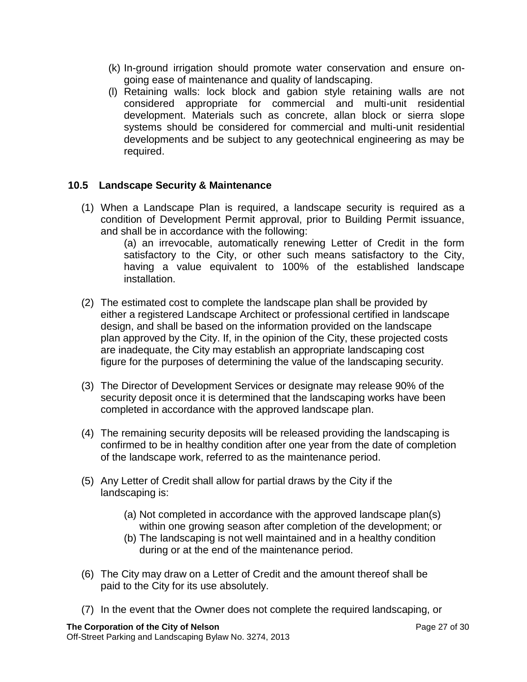- (k) In-ground irrigation should promote water conservation and ensure ongoing ease of maintenance and quality of landscaping.
- (l) Retaining walls: lock block and gabion style retaining walls are not considered appropriate for commercial and multi-unit residential development. Materials such as concrete, allan block or sierra slope systems should be considered for commercial and multi-unit residential developments and be subject to any geotechnical engineering as may be required.

## <span id="page-26-0"></span>**10.5 Landscape Security & Maintenance**

(1) When a Landscape Plan is required, a landscape security is required as a condition of Development Permit approval, prior to Building Permit issuance, and shall be in accordance with the following:

(a) an irrevocable, automatically renewing Letter of Credit in the form satisfactory to the City, or other such means satisfactory to the City, having a value equivalent to 100% of the established landscape installation.

- (2) The estimated cost to complete the landscape plan shall be provided by either a registered Landscape Architect or professional certified in landscape design, and shall be based on the information provided on the landscape plan approved by the City. If, in the opinion of the City, these projected costs are inadequate, the City may establish an appropriate landscaping cost figure for the purposes of determining the value of the landscaping security.
- (3) The Director of Development Services or designate may release 90% of the security deposit once it is determined that the landscaping works have been completed in accordance with the approved landscape plan.
- (4) The remaining security deposits will be released providing the landscaping is confirmed to be in healthy condition after one year from the date of completion of the landscape work, referred to as the maintenance period.
- (5) Any Letter of Credit shall allow for partial draws by the City if the landscaping is:
	- (a) Not completed in accordance with the approved landscape plan(s) within one growing season after completion of the development; or
	- (b) The landscaping is not well maintained and in a healthy condition during or at the end of the maintenance period.
- (6) The City may draw on a Letter of Credit and the amount thereof shall be paid to the City for its use absolutely.
- (7) In the event that the Owner does not complete the required landscaping, or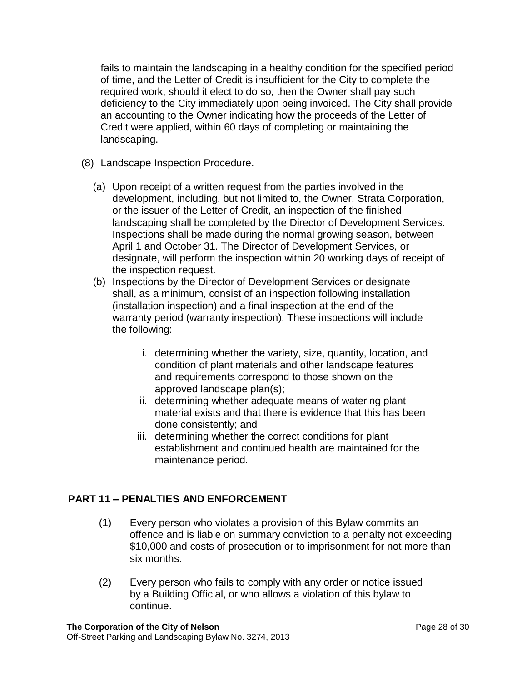fails to maintain the landscaping in a healthy condition for the specified period of time, and the Letter of Credit is insufficient for the City to complete the required work, should it elect to do so, then the Owner shall pay such deficiency to the City immediately upon being invoiced. The City shall provide an accounting to the Owner indicating how the proceeds of the Letter of Credit were applied, within 60 days of completing or maintaining the landscaping.

- (8) Landscape Inspection Procedure.
	- (a) Upon receipt of a written request from the parties involved in the development, including, but not limited to, the Owner, Strata Corporation, or the issuer of the Letter of Credit, an inspection of the finished landscaping shall be completed by the Director of Development Services. Inspections shall be made during the normal growing season, between April 1 and October 31. The Director of Development Services, or designate, will perform the inspection within 20 working days of receipt of the inspection request.
	- (b) Inspections by the Director of Development Services or designate shall, as a minimum, consist of an inspection following installation (installation inspection) and a final inspection at the end of the warranty period (warranty inspection). These inspections will include the following:
		- i. determining whether the variety, size, quantity, location, and condition of plant materials and other landscape features and requirements correspond to those shown on the approved landscape plan(s);
		- ii. determining whether adequate means of watering plant material exists and that there is evidence that this has been done consistently; and
		- iii. determining whether the correct conditions for plant establishment and continued health are maintained for the maintenance period.

# <span id="page-27-0"></span>**PART 11 – PENALTIES AND ENFORCEMENT**

- (1) Every person who violates a provision of this Bylaw commits an offence and is liable on summary conviction to a penalty not exceeding \$10,000 and costs of prosecution or to imprisonment for not more than six months.
- (2) Every person who fails to comply with any order or notice issued by a Building Official, or who allows a violation of this bylaw to continue.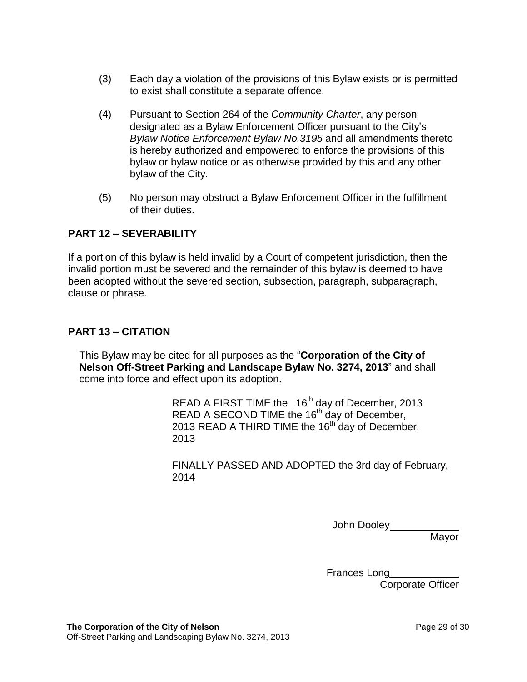- (3) Each day a violation of the provisions of this Bylaw exists or is permitted to exist shall constitute a separate offence.
- (4) Pursuant to Section 264 of the *Community Charter*, any person designated as a Bylaw Enforcement Officer pursuant to the City's *Bylaw Notice Enforcement Bylaw No.3195* and all amendments thereto is hereby authorized and empowered to enforce the provisions of this bylaw or bylaw notice or as otherwise provided by this and any other bylaw of the City.
- (5) No person may obstruct a Bylaw Enforcement Officer in the fulfillment of their duties.

# <span id="page-28-0"></span>**PART 12 – SEVERABILITY**

If a portion of this bylaw is held invalid by a Court of competent jurisdiction, then the invalid portion must be severed and the remainder of this bylaw is deemed to have been adopted without the severed section, subsection, paragraph, subparagraph, clause or phrase.

## <span id="page-28-1"></span>**PART 13 – CITATION**

This Bylaw may be cited for all purposes as the "**Corporation of the City of Nelson Off-Street Parking and Landscape Bylaw No. 3274, 2013**" and shall come into force and effect upon its adoption.

> READ A FIRST TIME the  $16<sup>th</sup>$  day of December, 2013 READ A SECOND TIME the 16<sup>th</sup> day of December, 2013 READ A THIRD TIME the 16<sup>th</sup> day of December, 2013

FINALLY PASSED AND ADOPTED the 3rd day of February, 2014

John Dooley\_\_\_\_\_\_

**Mavor** 

Frances Long

Corporate Officer